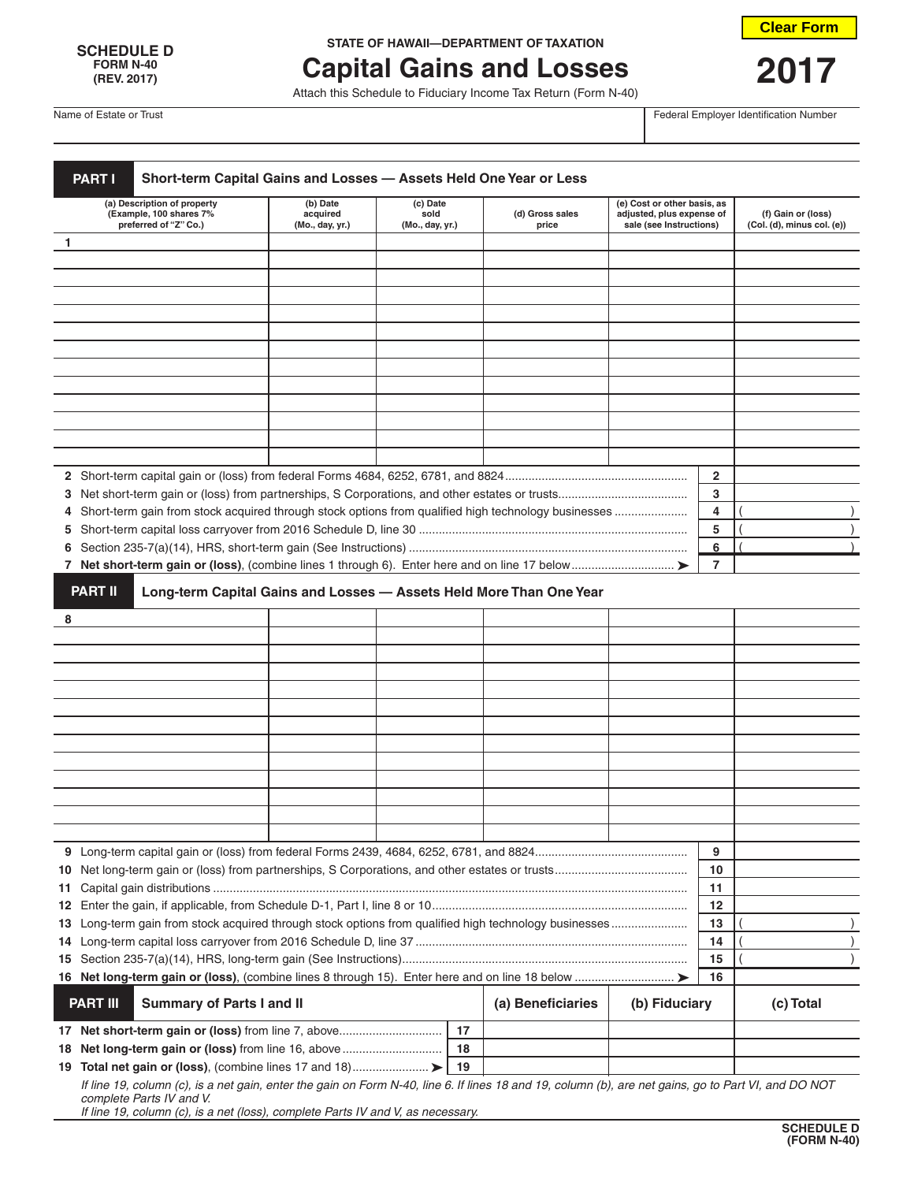## **FORM N-40**

## **SCHEDULE D STATE OF HAWAII—DEPARTMENT OF TAXATION**

## **Capital Gains and Losses 2017**<br>Attach this Schedule to Fiduciary Income Tax Return (Form N-40)

**Clear Form**

Name of Estate or Trust Federal Employer Identification Number

| Short-term Capital Gains and Losses - Assets Held One Year or Less<br><b>PART I</b>                                                                  |                                         |                                     |    |                                                                     |                                                                                     |                |                                                  |
|------------------------------------------------------------------------------------------------------------------------------------------------------|-----------------------------------------|-------------------------------------|----|---------------------------------------------------------------------|-------------------------------------------------------------------------------------|----------------|--------------------------------------------------|
| (a) Description of property<br>(Example, 100 shares 7%<br>preferred of "Z" Co.)                                                                      | (b) Date<br>acquired<br>(Mo., day, yr.) | (c) Date<br>sold<br>(Mo., day, yr.) |    | (d) Gross sales<br>price                                            | (e) Cost or other basis, as<br>adjusted, plus expense of<br>sale (see Instructions) |                | (f) Gain or (loss)<br>(Col. (d), minus col. (e)) |
| 1                                                                                                                                                    |                                         |                                     |    |                                                                     |                                                                                     |                |                                                  |
|                                                                                                                                                      |                                         |                                     |    |                                                                     |                                                                                     |                |                                                  |
|                                                                                                                                                      |                                         |                                     |    |                                                                     |                                                                                     |                |                                                  |
|                                                                                                                                                      |                                         |                                     |    |                                                                     |                                                                                     |                |                                                  |
|                                                                                                                                                      |                                         |                                     |    |                                                                     |                                                                                     |                |                                                  |
|                                                                                                                                                      |                                         |                                     |    |                                                                     |                                                                                     |                |                                                  |
|                                                                                                                                                      |                                         |                                     |    |                                                                     |                                                                                     |                |                                                  |
|                                                                                                                                                      |                                         |                                     |    |                                                                     |                                                                                     |                |                                                  |
|                                                                                                                                                      |                                         |                                     |    |                                                                     |                                                                                     |                |                                                  |
|                                                                                                                                                      |                                         |                                     |    |                                                                     |                                                                                     |                |                                                  |
|                                                                                                                                                      |                                         |                                     |    |                                                                     |                                                                                     |                |                                                  |
|                                                                                                                                                      |                                         |                                     |    |                                                                     |                                                                                     |                |                                                  |
|                                                                                                                                                      |                                         |                                     |    |                                                                     |                                                                                     |                |                                                  |
|                                                                                                                                                      |                                         |                                     |    |                                                                     |                                                                                     | 2              |                                                  |
|                                                                                                                                                      |                                         |                                     |    |                                                                     |                                                                                     | 3              |                                                  |
|                                                                                                                                                      |                                         |                                     |    |                                                                     |                                                                                     | 4              |                                                  |
| 4                                                                                                                                                    |                                         |                                     |    |                                                                     |                                                                                     | 5              |                                                  |
| 5.                                                                                                                                                   |                                         |                                     |    |                                                                     |                                                                                     |                |                                                  |
| 6                                                                                                                                                    |                                         |                                     |    |                                                                     |                                                                                     | 6              |                                                  |
|                                                                                                                                                      |                                         |                                     |    |                                                                     |                                                                                     | $\overline{7}$ |                                                  |
| <b>PART II</b>                                                                                                                                       |                                         |                                     |    | Long-term Capital Gains and Losses - Assets Held More Than One Year |                                                                                     |                |                                                  |
| 8                                                                                                                                                    |                                         |                                     |    |                                                                     |                                                                                     |                |                                                  |
|                                                                                                                                                      |                                         |                                     |    |                                                                     |                                                                                     |                |                                                  |
|                                                                                                                                                      |                                         |                                     |    |                                                                     |                                                                                     |                |                                                  |
|                                                                                                                                                      |                                         |                                     |    |                                                                     |                                                                                     |                |                                                  |
|                                                                                                                                                      |                                         |                                     |    |                                                                     |                                                                                     |                |                                                  |
|                                                                                                                                                      |                                         |                                     |    |                                                                     |                                                                                     |                |                                                  |
|                                                                                                                                                      |                                         |                                     |    |                                                                     |                                                                                     |                |                                                  |
|                                                                                                                                                      |                                         |                                     |    |                                                                     |                                                                                     |                |                                                  |
|                                                                                                                                                      |                                         |                                     |    |                                                                     |                                                                                     |                |                                                  |
|                                                                                                                                                      |                                         |                                     |    |                                                                     |                                                                                     |                |                                                  |
|                                                                                                                                                      |                                         |                                     |    |                                                                     |                                                                                     |                |                                                  |
|                                                                                                                                                      |                                         |                                     |    |                                                                     |                                                                                     |                |                                                  |
|                                                                                                                                                      |                                         |                                     |    |                                                                     |                                                                                     |                |                                                  |
|                                                                                                                                                      |                                         |                                     |    |                                                                     |                                                                                     | 9              |                                                  |
|                                                                                                                                                      |                                         |                                     |    |                                                                     |                                                                                     | 10             |                                                  |
|                                                                                                                                                      |                                         |                                     |    |                                                                     |                                                                                     | 11             |                                                  |
| 11                                                                                                                                                   |                                         |                                     |    |                                                                     |                                                                                     | 12             |                                                  |
|                                                                                                                                                      |                                         |                                     |    |                                                                     |                                                                                     | 13             |                                                  |
|                                                                                                                                                      |                                         |                                     |    |                                                                     |                                                                                     |                |                                                  |
|                                                                                                                                                      |                                         |                                     |    |                                                                     |                                                                                     | 14             |                                                  |
|                                                                                                                                                      |                                         |                                     |    |                                                                     |                                                                                     | 15             |                                                  |
| <b>PART III</b><br><b>Summary of Parts I and II</b>                                                                                                  |                                         |                                     |    | (a) Beneficiaries                                                   | (b) Fiduciary                                                                       | 16             | (c) Total                                        |
| 17 Net short-term gain or (loss) from line 7, above                                                                                                  |                                         |                                     | 17 |                                                                     |                                                                                     |                |                                                  |
| 18 Net long-term gain or (loss) from line 16, above                                                                                                  |                                         |                                     | 18 |                                                                     |                                                                                     |                |                                                  |
|                                                                                                                                                      |                                         |                                     | 19 |                                                                     |                                                                                     |                |                                                  |
| If line 19, column (c), is a net gain, enter the gain on Form N-40, line 6. If lines 18 and 19, column (b), are net gains, go to Part VI, and DO NOT |                                         |                                     |    |                                                                     |                                                                                     |                |                                                  |
| complete Parts IV and V.<br>If line 19, column (c), is a net (loss), complete Parts IV and V, as necessary.                                          |                                         |                                     |    |                                                                     |                                                                                     |                |                                                  |